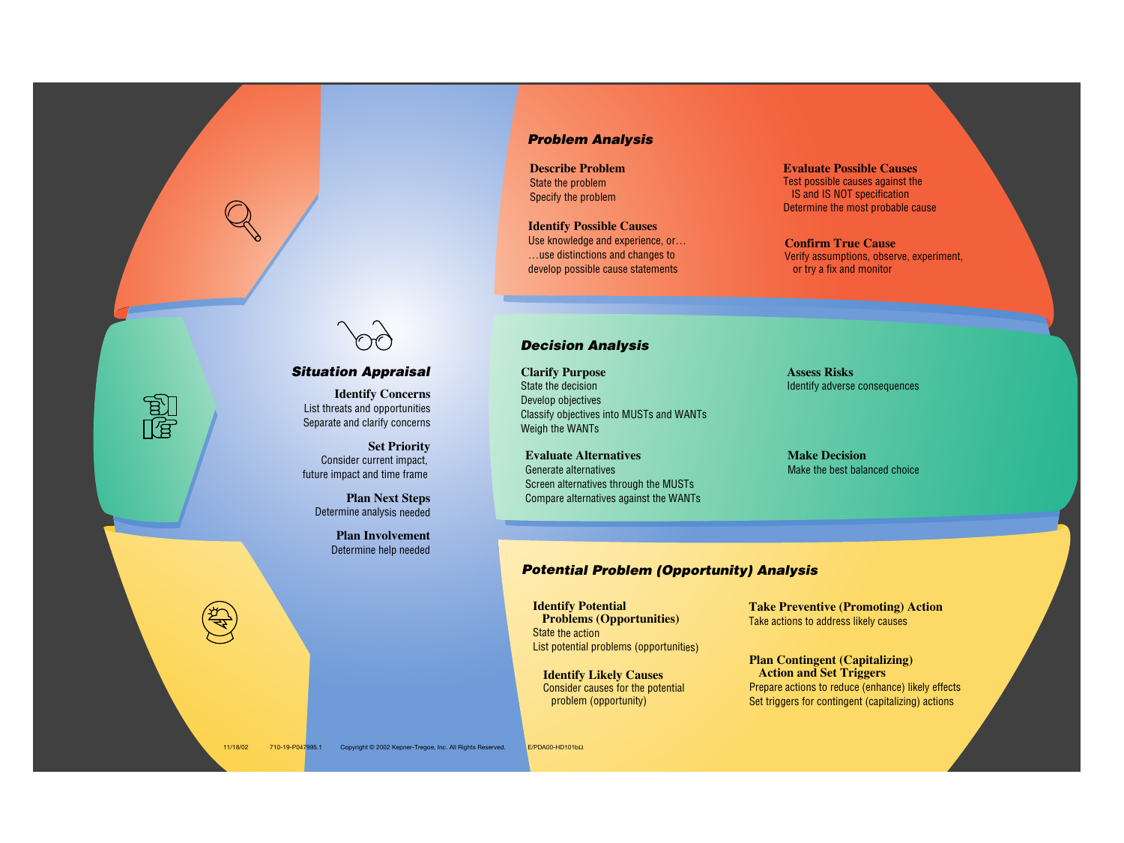## *Proble<sup>m</sup> Analysi<sup>s</sup>*

## *Decision Analysis*

## *Situation Appraisal*

**Describe Problem** State the problem Specify the problem

**Evaluate Possible Causes** Test possible causes against the IS and IS NOT specification

Determine the most probable cause

**Clarify Purpose** State the decision Develop objectives Classify objectives into MUSTs and WANTs Weigh the WANTs

**Assess Risks** Identify adverse consequences

**Identify Potential Problems (Opportunities)** State the action List potential problems (opportunities)

**Take Preventive (Promoting) Action** Take actions to address likely causes

**Identify Concerns** List threats and opportunities Separate and clarify concerns

**Set Priority** Consider current impact, future impact and time frame

**Plan Next Steps** Determine analysis needed

> **Plan Involvement** Determine help needed

> > **Identify Likely Causes** Consider causes for the potential problem (opportunity)



#### **Plan Contingent (Capitalizing) Action and Set Triggers**

Prepare actions to reduce (enhance) likely effects Set triggers for contingent (capitalizing) actions

**Evaluate Alternatives** Generate alternatives Screen alternatives through the MUSTs Compare alternatives against the WANTs

# **Potential Problem (Opportunity) Analysis**

**Make Decision** Make the best balanced choice

**Identify Possible Causes** Use knowledge and experience, or… …use distinctions and changes to develop possible cause statements



**Confirm True Cause** Verify assumptions, observe, experiment, or try a fix and monitor